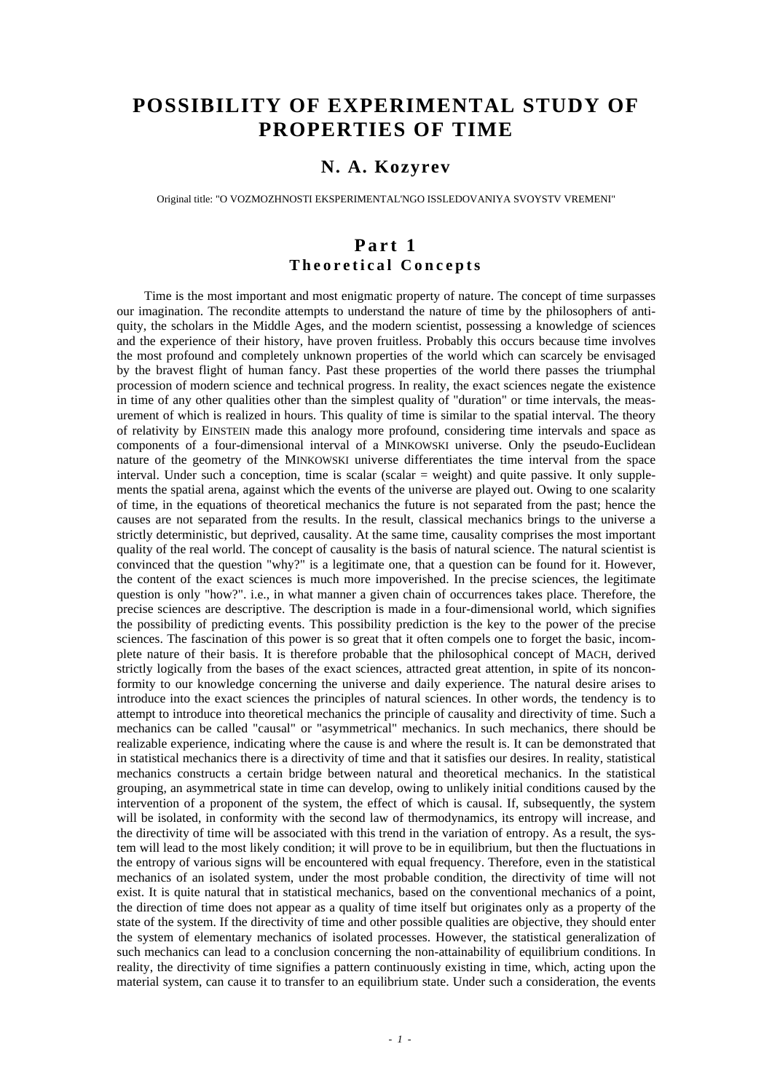# **POSSIBILITY OF EXPERIMENTAL STUDY OF PROPERTIES OF TIME**

## **N. A. Kozyrev**

Original title: "O VOZMOZHNOSTI EKSPERIMENTAL'NGO ISSLEDOVANIYA SVOYSTV VREMENI"

### **Part 1 Theoretical Concepts**

Time is the most important and most enigmatic property of nature. The concept of time surpasses our imagination. The recondite attempts to understand the nature of time by the philosophers of antiquity, the scholars in the Middle Ages, and the modern scientist, possessing a knowledge of sciences and the experience of their history, have proven fruitless. Probably this occurs because time involves the most profound and completely unknown properties of the world which can scarcely be envisaged by the bravest flight of human fancy. Past these properties of the world there passes the triumphal procession of modern science and technical progress. In reality, the exact sciences negate the existence in time of any other qualities other than the simplest quality of "duration" or time intervals, the measurement of which is realized in hours. This quality of time is similar to the spatial interval. The theory of relativity by EINSTEIN made this analogy more profound, considering time intervals and space as components of a four-dimensional interval of a MINKOWSKI universe. Only the pseudo-Euclidean nature of the geometry of the MINKOWSKI universe differentiates the time interval from the space interval. Under such a conception, time is scalar (scalar = weight) and quite passive. It only supplements the spatial arena, against which the events of the universe are played out. Owing to one scalarity of time, in the equations of theoretical mechanics the future is not separated from the past; hence the causes are not separated from the results. In the result, classical mechanics brings to the universe a strictly deterministic, but deprived, causality. At the same time, causality comprises the most important quality of the real world. The concept of causality is the basis of natural science. The natural scientist is convinced that the question "why?" is a legitimate one, that a question can be found for it. However, the content of the exact sciences is much more impoverished. In the precise sciences, the legitimate question is only "how?". i.e., in what manner a given chain of occurrences takes place. Therefore, the precise sciences are descriptive. The description is made in a four-dimensional world, which signifies the possibility of predicting events. This possibility prediction is the key to the power of the precise sciences. The fascination of this power is so great that it often compels one to forget the basic, incomplete nature of their basis. It is therefore probable that the philosophical concept of MACH, derived strictly logically from the bases of the exact sciences, attracted great attention, in spite of its nonconformity to our knowledge concerning the universe and daily experience. The natural desire arises to introduce into the exact sciences the principles of natural sciences. In other words, the tendency is to attempt to introduce into theoretical mechanics the principle of causality and directivity of time. Such a mechanics can be called "causal" or "asymmetrical" mechanics. In such mechanics, there should be realizable experience, indicating where the cause is and where the result is. It can be demonstrated that in statistical mechanics there is a directivity of time and that it satisfies our desires. In reality, statistical mechanics constructs a certain bridge between natural and theoretical mechanics. In the statistical grouping, an asymmetrical state in time can develop, owing to unlikely initial conditions caused by the intervention of a proponent of the system, the effect of which is causal. If, subsequently, the system will be isolated, in conformity with the second law of thermodynamics, its entropy will increase, and the directivity of time will be associated with this trend in the variation of entropy. As a result, the system will lead to the most likely condition; it will prove to be in equilibrium, but then the fluctuations in the entropy of various signs will be encountered with equal frequency. Therefore, even in the statistical mechanics of an isolated system, under the most probable condition, the directivity of time will not exist. It is quite natural that in statistical mechanics, based on the conventional mechanics of a point, the direction of time does not appear as a quality of time itself but originates only as a property of the state of the system. If the directivity of time and other possible qualities are objective, they should enter the system of elementary mechanics of isolated processes. However, the statistical generalization of such mechanics can lead to a conclusion concerning the non-attainability of equilibrium conditions. In reality, the directivity of time signifies a pattern continuously existing in time, which, acting upon the material system, can cause it to transfer to an equilibrium state. Under such a consideration, the events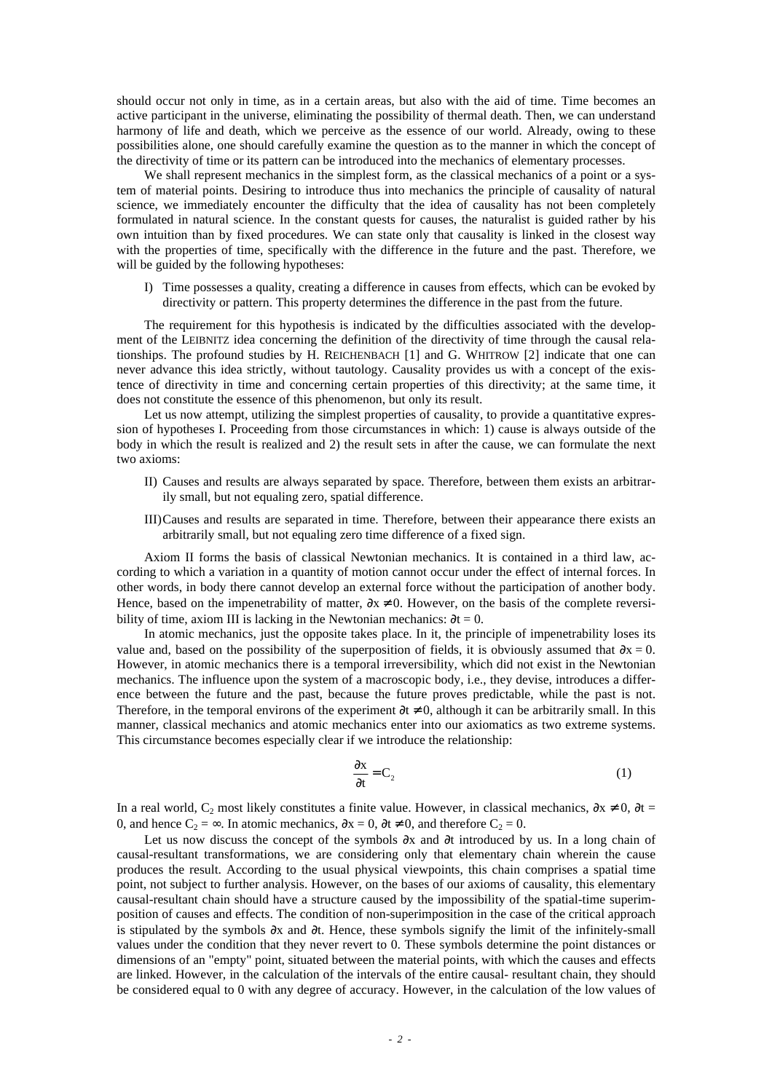should occur not only in time, as in a certain areas, but also with the aid of time. Time becomes an active participant in the universe, eliminating the possibility of thermal death. Then, we can understand harmony of life and death, which we perceive as the essence of our world. Already, owing to these possibilities alone, one should carefully examine the question as to the manner in which the concept of the directivity of time or its pattern can be introduced into the mechanics of elementary processes.

We shall represent mechanics in the simplest form, as the classical mechanics of a point or a system of material points. Desiring to introduce thus into mechanics the principle of causality of natural science, we immediately encounter the difficulty that the idea of causality has not been completely formulated in natural science. In the constant quests for causes, the naturalist is guided rather by his own intuition than by fixed procedures. We can state only that causality is linked in the closest way with the properties of time, specifically with the difference in the future and the past. Therefore, we will be guided by the following hypotheses:

I) Time possesses a quality, creating a difference in causes from effects, which can be evoked by directivity or pattern. This property determines the difference in the past from the future.

The requirement for this hypothesis is indicated by the difficulties associated with the development of the LEIBNITZ idea concerning the definition of the directivity of time through the causal relationships. The profound studies by H. REICHENBACH [1] and G. WHITROW [2] indicate that one can never advance this idea strictly, without tautology. Causality provides us with a concept of the existence of directivity in time and concerning certain properties of this directivity; at the same time, it does not constitute the essence of this phenomenon, but only its result.

Let us now attempt, utilizing the simplest properties of causality, to provide a quantitative expression of hypotheses I. Proceeding from those circumstances in which: 1) cause is always outside of the body in which the result is realized and 2) the result sets in after the cause, we can formulate the next two axioms:

- II) Causes and results are always separated by space. Therefore, between them exists an arbitrarily small, but not equaling zero, spatial difference.
- III)Causes and results are separated in time. Therefore, between their appearance there exists an arbitrarily small, but not equaling zero time difference of a fixed sign.

Axiom II forms the basis of classical Newtonian mechanics. It is contained in a third law, according to which a variation in a quantity of motion cannot occur under the effect of internal forces. In other words, in body there cannot develop an external force without the participation of another body. Hence, based on the impenetrability of matter,  $\partial x \neq 0$ . However, on the basis of the complete reversibility of time, axiom III is lacking in the Newtonian mechanics:  $\partial t = 0$ .

In atomic mechanics, just the opposite takes place. In it, the principle of impenetrability loses its value and, based on the possibility of the superposition of fields, it is obviously assumed that  $\partial x = 0$ . However, in atomic mechanics there is a temporal irreversibility, which did not exist in the Newtonian mechanics. The influence upon the system of a macroscopic body, i.e., they devise, introduces a difference between the future and the past, because the future proves predictable, while the past is not. Therefore, in the temporal environs of the experiment  $\partial t \neq 0$ , although it can be arbitrarily small. In this manner, classical mechanics and atomic mechanics enter into our axiomatics as two extreme systems. This circumstance becomes especially clear if we introduce the relationship:

$$
\frac{\partial x}{\partial t} = C_2 \tag{1}
$$

In a real world, C<sub>2</sub> most likely constitutes a finite value. However, in classical mechanics,  $\partial x \neq 0$ ,  $\partial t =$ 0, and hence  $C_2 = \infty$ . In atomic mechanics,  $\partial x = 0$ ,  $\partial t \neq 0$ , and therefore  $C_2 = 0$ .

Let us now discuss the concept of the symbols ∂x and ∂t introduced by us. In a long chain of causal-resultant transformations, we are considering only that elementary chain wherein the cause produces the result. According to the usual physical viewpoints, this chain comprises a spatial time point, not subject to further analysis. However, on the bases of our axioms of causality, this elementary causal-resultant chain should have a structure caused by the impossibility of the spatial-time superimposition of causes and effects. The condition of non-superimposition in the case of the critical approach is stipulated by the symbols ∂x and ∂t. Hence, these symbols signify the limit of the infinitely-small values under the condition that they never revert to 0. These symbols determine the point distances or dimensions of an "empty" point, situated between the material points, with which the causes and effects are linked. However, in the calculation of the intervals of the entire causal- resultant chain, they should be considered equal to 0 with any degree of accuracy. However, in the calculation of the low values of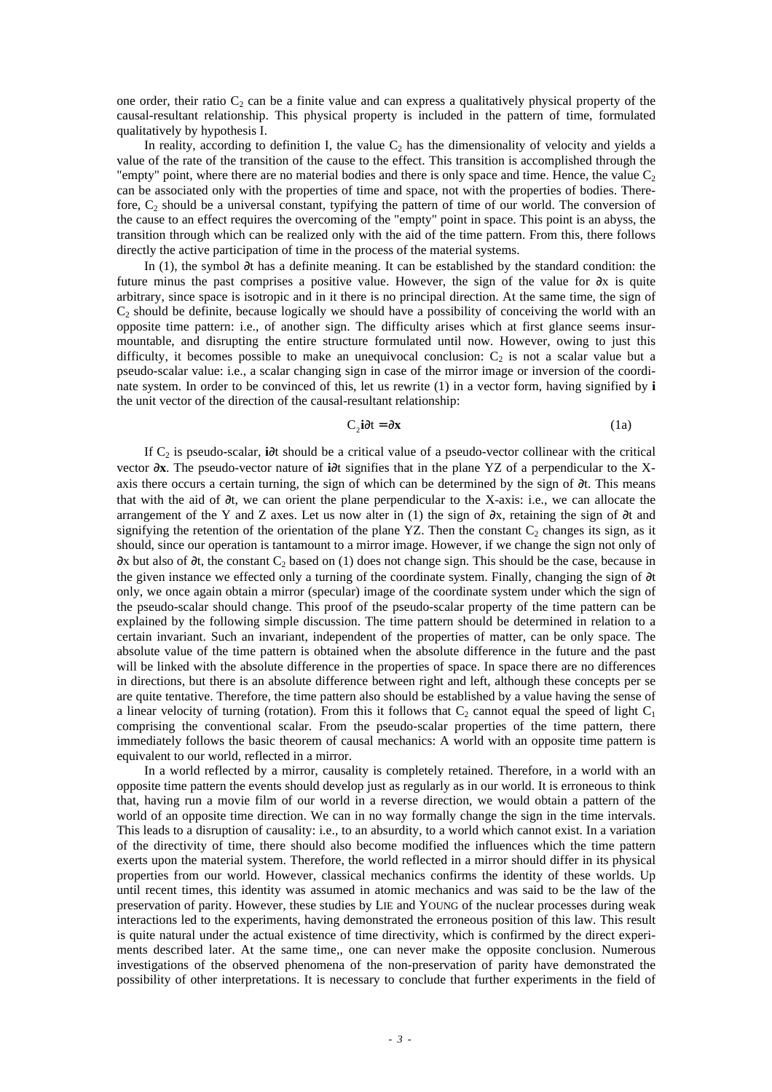one order, their ratio  $C_2$  can be a finite value and can express a qualitatively physical property of the causal-resultant relationship. This physical property is included in the pattern of time, formulated qualitatively by hypothesis I.

In reality, according to definition I, the value  $C_2$  has the dimensionality of velocity and yields a value of the rate of the transition of the cause to the effect. This transition is accomplished through the "empty" point, where there are no material bodies and there is only space and time. Hence, the value  $C_2$ can be associated only with the properties of time and space, not with the properties of bodies. Therefore,  $C_2$  should be a universal constant, typifying the pattern of time of our world. The conversion of the cause to an effect requires the overcoming of the "empty" point in space. This point is an abyss, the transition through which can be realized only with the aid of the time pattern. From this, there follows directly the active participation of time in the process of the material systems.

In (1), the symbol ∂t has a definite meaning. It can be established by the standard condition: the future minus the past comprises a positive value. However, the sign of the value for  $\partial x$  is quite arbitrary, since space is isotropic and in it there is no principal direction. At the same time, the sign of  $C_2$  should be definite, because logically we should have a possibility of conceiving the world with an opposite time pattern: i.e., of another sign. The difficulty arises which at first glance seems insurmountable, and disrupting the entire structure formulated until now. However, owing to just this difficulty, it becomes possible to make an unequivocal conclusion:  $C_2$  is not a scalar value but a pseudo-scalar value: i.e., a scalar changing sign in case of the mirror image or inversion of the coordinate system. In order to be convinced of this, let us rewrite (1) in a vector form, having signified by **i** the unit vector of the direction of the causal-resultant relationship:

$$
C_2 i \partial t = \partial x \tag{1a}
$$

If C2 is pseudo-scalar, **i**∂t should be a critical value of a pseudo-vector collinear with the critical vector ∂**x**. The pseudo-vector nature of **i**∂t signifies that in the plane YZ of a perpendicular to the Xaxis there occurs a certain turning, the sign of which can be determined by the sign of ∂t. This means that with the aid of ∂t, we can orient the plane perpendicular to the X-axis: i.e., we can allocate the arrangement of the Y and Z axes. Let us now alter in (1) the sign of ∂x, retaining the sign of ∂t and signifying the retention of the orientation of the plane YZ. Then the constant  $C_2$  changes its sign, as it should, since our operation is tantamount to a mirror image. However, if we change the sign not only of  $\partial x$  but also of  $\partial t$ , the constant C<sub>2</sub> based on (1) does not change sign. This should be the case, because in the given instance we effected only a turning of the coordinate system. Finally, changing the sign of ∂t only, we once again obtain a mirror (specular) image of the coordinate system under which the sign of the pseudo-scalar should change. This proof of the pseudo-scalar property of the time pattern can be explained by the following simple discussion. The time pattern should be determined in relation to a certain invariant. Such an invariant, independent of the properties of matter, can be only space. The absolute value of the time pattern is obtained when the absolute difference in the future and the past will be linked with the absolute difference in the properties of space. In space there are no differences in directions, but there is an absolute difference between right and left, although these concepts per se are quite tentative. Therefore, the time pattern also should be established by a value having the sense of a linear velocity of turning (rotation). From this it follows that  $C_2$  cannot equal the speed of light  $C_1$ comprising the conventional scalar. From the pseudo-scalar properties of the time pattern, there immediately follows the basic theorem of causal mechanics: A world with an opposite time pattern is equivalent to our world, reflected in a mirror.

In a world reflected by a mirror, causality is completely retained. Therefore, in a world with an opposite time pattern the events should develop just as regularly as in our world. It is erroneous to think that, having run a movie film of our world in a reverse direction, we would obtain a pattern of the world of an opposite time direction. We can in no way formally change the sign in the time intervals. This leads to a disruption of causality: i.e., to an absurdity, to a world which cannot exist. In a variation of the directivity of time, there should also become modified the influences which the time pattern exerts upon the material system. Therefore, the world reflected in a mirror should differ in its physical properties from our world. However, classical mechanics confirms the identity of these worlds. Up until recent times, this identity was assumed in atomic mechanics and was said to be the law of the preservation of parity. However, these studies by LIE and YOUNG of the nuclear processes during weak interactions led to the experiments, having demonstrated the erroneous position of this law. This result is quite natural under the actual existence of time directivity, which is confirmed by the direct experiments described later. At the same time,, one can never make the opposite conclusion. Numerous investigations of the observed phenomena of the non-preservation of parity have demonstrated the possibility of other interpretations. It is necessary to conclude that further experiments in the field of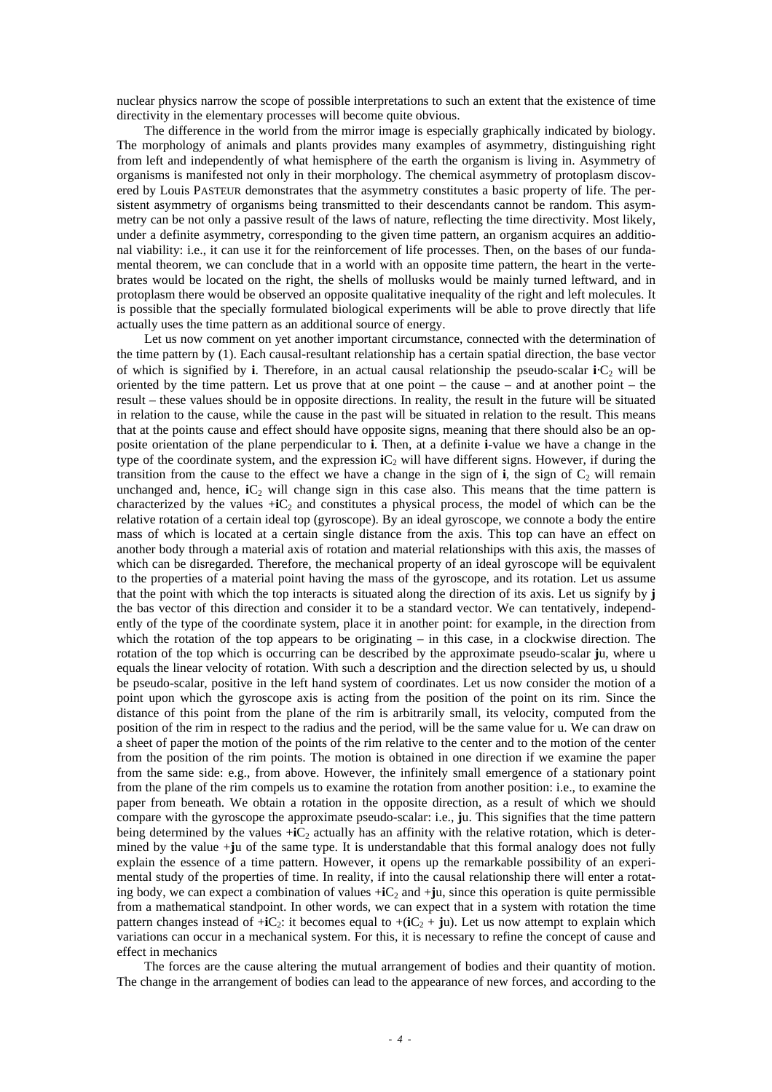nuclear physics narrow the scope of possible interpretations to such an extent that the existence of time directivity in the elementary processes will become quite obvious.

The difference in the world from the mirror image is especially graphically indicated by biology. The morphology of animals and plants provides many examples of asymmetry, distinguishing right from left and independently of what hemisphere of the earth the organism is living in. Asymmetry of organisms is manifested not only in their morphology. The chemical asymmetry of protoplasm discovered by Louis PASTEUR demonstrates that the asymmetry constitutes a basic property of life. The persistent asymmetry of organisms being transmitted to their descendants cannot be random. This asymmetry can be not only a passive result of the laws of nature, reflecting the time directivity. Most likely, under a definite asymmetry, corresponding to the given time pattern, an organism acquires an additional viability: i.e., it can use it for the reinforcement of life processes. Then, on the bases of our fundamental theorem, we can conclude that in a world with an opposite time pattern, the heart in the vertebrates would be located on the right, the shells of mollusks would be mainly turned leftward, and in protoplasm there would be observed an opposite qualitative inequality of the right and left molecules. It is possible that the specially formulated biological experiments will be able to prove directly that life actually uses the time pattern as an additional source of energy.

Let us now comment on yet another important circumstance, connected with the determination of the time pattern by (1). Each causal-resultant relationship has a certain spatial direction, the base vector of which is signified by **i**. Therefore, in an actual causal relationship the pseudo-scalar **i**⋅C2 will be oriented by the time pattern. Let us prove that at one point – the cause – and at another point – the result – these values should be in opposite directions. In reality, the result in the future will be situated in relation to the cause, while the cause in the past will be situated in relation to the result. This means that at the points cause and effect should have opposite signs, meaning that there should also be an opposite orientation of the plane perpendicular to **i**. Then, at a definite **i**-value we have a change in the type of the coordinate system, and the expression **i**C<sub>2</sub> will have different signs. However, if during the transition from the cause to the effect we have a change in the sign of  $\mathbf{i}$ , the sign of  $C_2$  will remain unchanged and, hence,  $iC_2$  will change sign in this case also. This means that the time pattern is characterized by the values  $+iC_2$  and constitutes a physical process, the model of which can be the relative rotation of a certain ideal top (gyroscope). By an ideal gyroscope, we connote a body the entire mass of which is located at a certain single distance from the axis. This top can have an effect on another body through a material axis of rotation and material relationships with this axis, the masses of which can be disregarded. Therefore, the mechanical property of an ideal gyroscope will be equivalent to the properties of a material point having the mass of the gyroscope, and its rotation. Let us assume that the point with which the top interacts is situated along the direction of its axis. Let us signify by **j** the bas vector of this direction and consider it to be a standard vector. We can tentatively, independently of the type of the coordinate system, place it in another point: for example, in the direction from which the rotation of the top appears to be originating – in this case, in a clockwise direction. The rotation of the top which is occurring can be described by the approximate pseudo-scalar **j**u, where u equals the linear velocity of rotation. With such a description and the direction selected by us, u should be pseudo-scalar, positive in the left hand system of coordinates. Let us now consider the motion of a point upon which the gyroscope axis is acting from the position of the point on its rim. Since the distance of this point from the plane of the rim is arbitrarily small, its velocity, computed from the position of the rim in respect to the radius and the period, will be the same value for u. We can draw on a sheet of paper the motion of the points of the rim relative to the center and to the motion of the center from the position of the rim points. The motion is obtained in one direction if we examine the paper from the same side: e.g., from above. However, the infinitely small emergence of a stationary point from the plane of the rim compels us to examine the rotation from another position: i.e., to examine the paper from beneath. We obtain a rotation in the opposite direction, as a result of which we should compare with the gyroscope the approximate pseudo-scalar: i.e., **j**u. This signifies that the time pattern being determined by the values  $+iC_2$  actually has an affinity with the relative rotation, which is determined by the value +**j**u of the same type. It is understandable that this formal analogy does not fully explain the essence of a time pattern. However, it opens up the remarkable possibility of an experimental study of the properties of time. In reality, if into the causal relationship there will enter a rotating body, we can expect a combination of values  $+iC_2$  and  $+i\mu$ , since this operation is quite permissible from a mathematical standpoint. In other words, we can expect that in a system with rotation the time pattern changes instead of  $+iC_2$ : it becomes equal to  $+iC_2 + ju$ ). Let us now attempt to explain which variations can occur in a mechanical system. For this, it is necessary to refine the concept of cause and effect in mechanics

The forces are the cause altering the mutual arrangement of bodies and their quantity of motion. The change in the arrangement of bodies can lead to the appearance of new forces, and according to the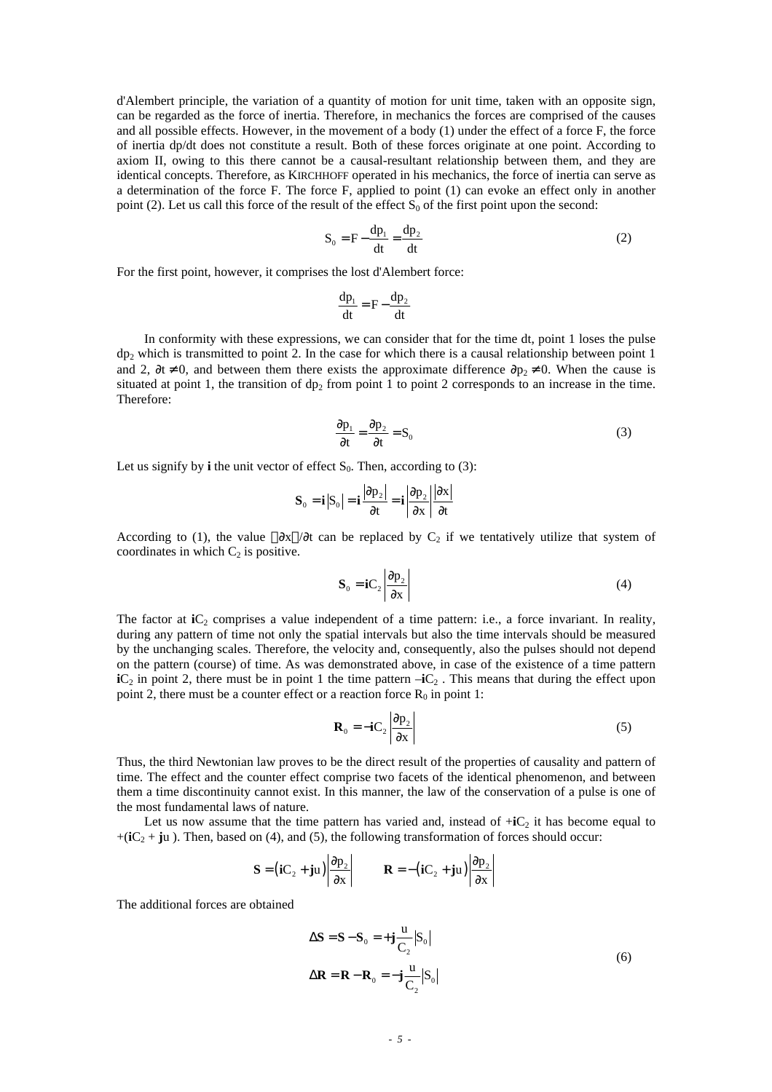d'Alembert principle, the variation of a quantity of motion for unit time, taken with an opposite sign, can be regarded as the force of inertia. Therefore, in mechanics the forces are comprised of the causes and all possible effects. However, in the movement of a body (1) under the effect of a force F, the force of inertia dp/dt does not constitute a result. Both of these forces originate at one point. According to axiom II, owing to this there cannot be a causal-resultant relationship between them, and they are identical concepts. Therefore, as KIRCHHOFF operated in his mechanics, the force of inertia can serve as a determination of the force F. The force F, applied to point (1) can evoke an effect only in another point (2). Let us call this force of the result of the effect  $S_0$  of the first point upon the second:

$$
S_0 = F - \frac{dp_1}{dt} = \frac{dp_2}{dt}
$$
 (2)

For the first point, however, it comprises the lost d'Alembert force:

$$
\frac{dp_1}{dt} = F - \frac{dp_2}{dt}
$$

In conformity with these expressions, we can consider that for the time dt, point 1 loses the pulse dp2 which is transmitted to point 2. In the case for which there is a causal relationship between point 1 and 2,  $\partial t \neq 0$ , and between them there exists the approximate difference  $\partial p_2 \neq 0$ . When the cause is situated at point 1, the transition of  $dp_2$  from point 1 to point 2 corresponds to an increase in the time. Therefore:

$$
\frac{\partial \mathbf{p}_1}{\partial t} = \frac{\partial \mathbf{p}_2}{\partial t} = \mathbf{S}_0
$$
 (3)

Let us signify by **i** the unit vector of effect  $S_0$ . Then, according to (3):

$$
\mathbf{S}_0 = \mathbf{i} |S_0| = \mathbf{i} \frac{|\partial \mathbf{p}_2|}{\partial \mathbf{t}} = \mathbf{i} \frac{|\partial \mathbf{p}_2|}{\partial \mathbf{x}} \frac{|\partial \mathbf{x}|}{\partial \mathbf{t}}
$$

According to (1), the value  $|\partial x|/\partial t$  can be replaced by C<sub>2</sub> if we tentatively utilize that system of coordinates in which  $C_2$  is positive.

$$
\mathbf{S}_0 = \mathbf{i}\mathbf{C}_2 \left| \frac{\partial \mathbf{p}_2}{\partial \mathbf{x}} \right| \tag{4}
$$

The factor at  $iC_2$  comprises a value independent of a time pattern: i.e., a force invariant. In reality, during any pattern of time not only the spatial intervals but also the time intervals should be measured by the unchanging scales. Therefore, the velocity and, consequently, also the pulses should not depend on the pattern (course) of time. As was demonstrated above, in case of the existence of a time pattern  $iC_2$  in point 2, there must be in point 1 the time pattern  $-iC_2$ . This means that during the effect upon point 2, there must be a counter effect or a reaction force  $R_0$  in point 1:

$$
\mathbf{R}_0 = -\mathbf{i}C_2 \left| \frac{\partial \mathbf{p}_2}{\partial \mathbf{x}} \right| \tag{5}
$$

Thus, the third Newtonian law proves to be the direct result of the properties of causality and pattern of time. The effect and the counter effect comprise two facets of the identical phenomenon, and between them a time discontinuity cannot exist. In this manner, the law of the conservation of a pulse is one of the most fundamental laws of nature.

Let us now assume that the time pattern has varied and, instead of  $+iC_2$  it has become equal to  $+(iC_2 + ju)$ . Then, based on (4), and (5), the following transformation of forces should occur:

$$
\mathbf{S} = (\mathbf{i} \mathbf{C}_2 + \mathbf{j} \mathbf{u}) \left| \frac{\partial \mathbf{p}_2}{\partial \mathbf{x}} \right| \qquad \mathbf{R} = -(\mathbf{i} \mathbf{C}_2 + \mathbf{j} \mathbf{u}) \left| \frac{\partial \mathbf{p}_2}{\partial \mathbf{x}} \right|
$$

The additional forces are obtained

$$
\Delta \mathbf{S} = \mathbf{S} - \mathbf{S}_0 = +\mathbf{j} \frac{\mathbf{u}}{C_2} |S_0|
$$
  

$$
\Delta \mathbf{R} = \mathbf{R} - \mathbf{R}_0 = -\mathbf{j} \frac{\mathbf{u}}{C_2} |S_0|
$$
 (6)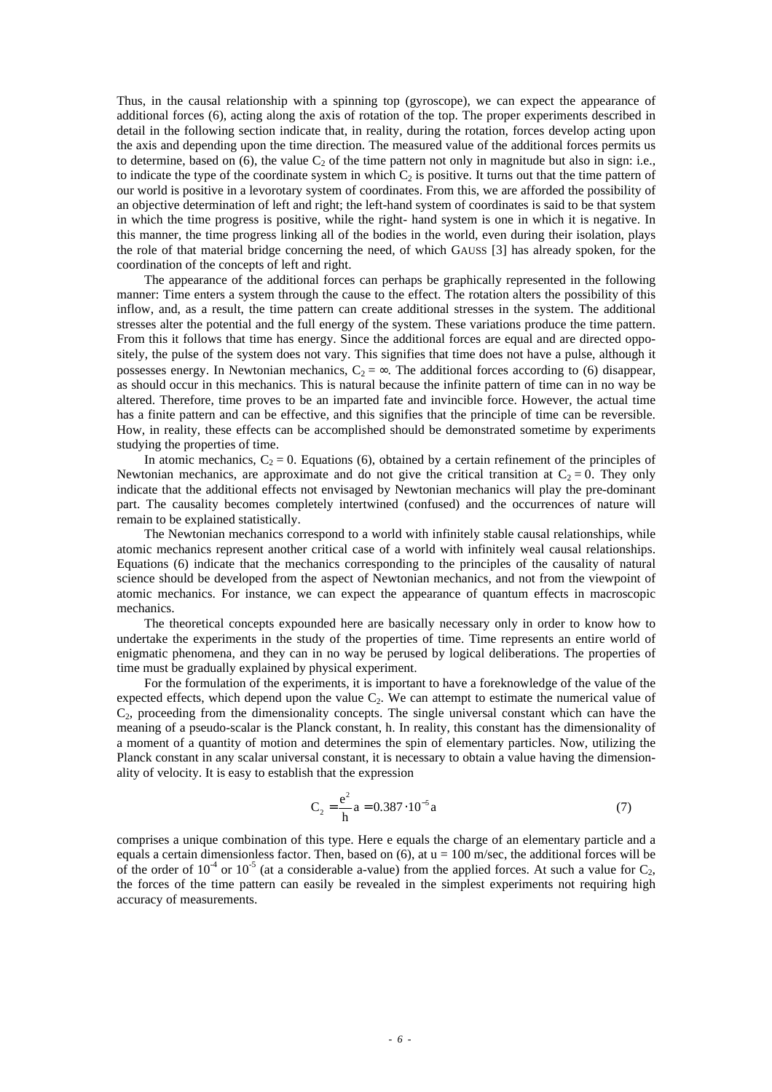Thus, in the causal relationship with a spinning top (gyroscope), we can expect the appearance of additional forces (6), acting along the axis of rotation of the top. The proper experiments described in detail in the following section indicate that, in reality, during the rotation, forces develop acting upon the axis and depending upon the time direction. The measured value of the additional forces permits us to determine, based on (6), the value  $C_2$  of the time pattern not only in magnitude but also in sign: i.e., to indicate the type of the coordinate system in which  $C_2$  is positive. It turns out that the time pattern of our world is positive in a levorotary system of coordinates. From this, we are afforded the possibility of an objective determination of left and right; the left-hand system of coordinates is said to be that system in which the time progress is positive, while the right- hand system is one in which it is negative. In this manner, the time progress linking all of the bodies in the world, even during their isolation, plays the role of that material bridge concerning the need, of which GAUSS [3] has already spoken, for the coordination of the concepts of left and right.

The appearance of the additional forces can perhaps be graphically represented in the following manner: Time enters a system through the cause to the effect. The rotation alters the possibility of this inflow, and, as a result, the time pattern can create additional stresses in the system. The additional stresses alter the potential and the full energy of the system. These variations produce the time pattern. From this it follows that time has energy. Since the additional forces are equal and are directed oppositely, the pulse of the system does not vary. This signifies that time does not have a pulse, although it possesses energy. In Newtonian mechanics,  $C_2 = \infty$ . The additional forces according to (6) disappear, as should occur in this mechanics. This is natural because the infinite pattern of time can in no way be altered. Therefore, time proves to be an imparted fate and invincible force. However, the actual time has a finite pattern and can be effective, and this signifies that the principle of time can be reversible. How, in reality, these effects can be accomplished should be demonstrated sometime by experiments studying the properties of time.

In atomic mechanics,  $C_2 = 0$ . Equations (6), obtained by a certain refinement of the principles of Newtonian mechanics, are approximate and do not give the critical transition at  $C_2 = 0$ . They only indicate that the additional effects not envisaged by Newtonian mechanics will play the pre-dominant part. The causality becomes completely intertwined (confused) and the occurrences of nature will remain to be explained statistically.

The Newtonian mechanics correspond to a world with infinitely stable causal relationships, while atomic mechanics represent another critical case of a world with infinitely weal causal relationships. Equations (6) indicate that the mechanics corresponding to the principles of the causality of natural science should be developed from the aspect of Newtonian mechanics, and not from the viewpoint of atomic mechanics. For instance, we can expect the appearance of quantum effects in macroscopic mechanics.

The theoretical concepts expounded here are basically necessary only in order to know how to undertake the experiments in the study of the properties of time. Time represents an entire world of enigmatic phenomena, and they can in no way be perused by logical deliberations. The properties of time must be gradually explained by physical experiment.

For the formulation of the experiments, it is important to have a foreknowledge of the value of the expected effects, which depend upon the value  $C_2$ . We can attempt to estimate the numerical value of  $C_2$ , proceeding from the dimensionality concepts. The single universal constant which can have the meaning of a pseudo-scalar is the Planck constant, h. In reality, this constant has the dimensionality of a moment of a quantity of motion and determines the spin of elementary particles. Now, utilizing the Planck constant in any scalar universal constant, it is necessary to obtain a value having the dimensionality of velocity. It is easy to establish that the expression

$$
C_2 = \frac{e^2}{h} a = 0.387 \cdot 10^{-5} a \tag{7}
$$

comprises a unique combination of this type. Here e equals the charge of an elementary particle and a equals a certain dimensionless factor. Then, based on  $(6)$ , at  $u = 100$  m/sec, the additional forces will be of the order of  $10^{-4}$  or  $10^{-5}$  (at a considerable a-value) from the applied forces. At such a value for  $C_2$ , the forces of the time pattern can easily be revealed in the simplest experiments not requiring high accuracy of measurements.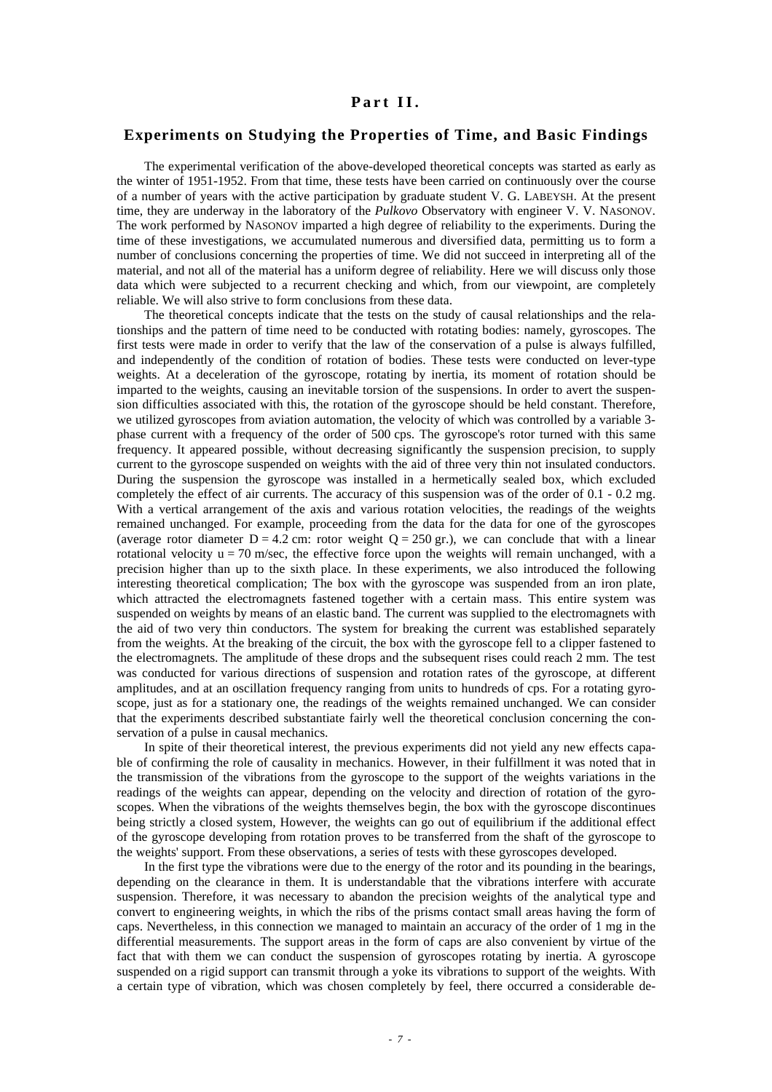#### **Part II.**

#### **Experiments on Studying the Properties of Time, and Basic Findings**

The experimental verification of the above-developed theoretical concepts was started as early as the winter of 1951-1952. From that time, these tests have been carried on continuously over the course of a number of years with the active participation by graduate student V. G. LABEYSH. At the present time, they are underway in the laboratory of the *Pulkovo* Observatory with engineer V. V. NASONOV. The work performed by NASONOV imparted a high degree of reliability to the experiments. During the time of these investigations, we accumulated numerous and diversified data, permitting us to form a number of conclusions concerning the properties of time. We did not succeed in interpreting all of the material, and not all of the material has a uniform degree of reliability. Here we will discuss only those data which were subjected to a recurrent checking and which, from our viewpoint, are completely reliable. We will also strive to form conclusions from these data.

The theoretical concepts indicate that the tests on the study of causal relationships and the relationships and the pattern of time need to be conducted with rotating bodies: namely, gyroscopes. The first tests were made in order to verify that the law of the conservation of a pulse is always fulfilled, and independently of the condition of rotation of bodies. These tests were conducted on lever-type weights. At a deceleration of the gyroscope, rotating by inertia, its moment of rotation should be imparted to the weights, causing an inevitable torsion of the suspensions. In order to avert the suspension difficulties associated with this, the rotation of the gyroscope should be held constant. Therefore, we utilized gyroscopes from aviation automation, the velocity of which was controlled by a variable 3 phase current with a frequency of the order of 500 cps. The gyroscope's rotor turned with this same frequency. It appeared possible, without decreasing significantly the suspension precision, to supply current to the gyroscope suspended on weights with the aid of three very thin not insulated conductors. During the suspension the gyroscope was installed in a hermetically sealed box, which excluded completely the effect of air currents. The accuracy of this suspension was of the order of 0.1 - 0.2 mg. With a vertical arrangement of the axis and various rotation velocities, the readings of the weights remained unchanged. For example, proceeding from the data for the data for one of the gyroscopes (average rotor diameter  $D = 4.2$  cm: rotor weight  $Q = 250$  gr.), we can conclude that with a linear rotational velocity  $u = 70$  m/sec, the effective force upon the weights will remain unchanged, with a precision higher than up to the sixth place. In these experiments, we also introduced the following interesting theoretical complication; The box with the gyroscope was suspended from an iron plate, which attracted the electromagnets fastened together with a certain mass. This entire system was suspended on weights by means of an elastic band. The current was supplied to the electromagnets with the aid of two very thin conductors. The system for breaking the current was established separately from the weights. At the breaking of the circuit, the box with the gyroscope fell to a clipper fastened to the electromagnets. The amplitude of these drops and the subsequent rises could reach 2 mm. The test was conducted for various directions of suspension and rotation rates of the gyroscope, at different amplitudes, and at an oscillation frequency ranging from units to hundreds of cps. For a rotating gyroscope, just as for a stationary one, the readings of the weights remained unchanged. We can consider that the experiments described substantiate fairly well the theoretical conclusion concerning the conservation of a pulse in causal mechanics.

In spite of their theoretical interest, the previous experiments did not yield any new effects capable of confirming the role of causality in mechanics. However, in their fulfillment it was noted that in the transmission of the vibrations from the gyroscope to the support of the weights variations in the readings of the weights can appear, depending on the velocity and direction of rotation of the gyroscopes. When the vibrations of the weights themselves begin, the box with the gyroscope discontinues being strictly a closed system, However, the weights can go out of equilibrium if the additional effect of the gyroscope developing from rotation proves to be transferred from the shaft of the gyroscope to the weights' support. From these observations, a series of tests with these gyroscopes developed.

In the first type the vibrations were due to the energy of the rotor and its pounding in the bearings, depending on the clearance in them. It is understandable that the vibrations interfere with accurate suspension. Therefore, it was necessary to abandon the precision weights of the analytical type and convert to engineering weights, in which the ribs of the prisms contact small areas having the form of caps. Nevertheless, in this connection we managed to maintain an accuracy of the order of 1 mg in the differential measurements. The support areas in the form of caps are also convenient by virtue of the fact that with them we can conduct the suspension of gyroscopes rotating by inertia. A gyroscope suspended on a rigid support can transmit through a yoke its vibrations to support of the weights. With a certain type of vibration, which was chosen completely by feel, there occurred a considerable de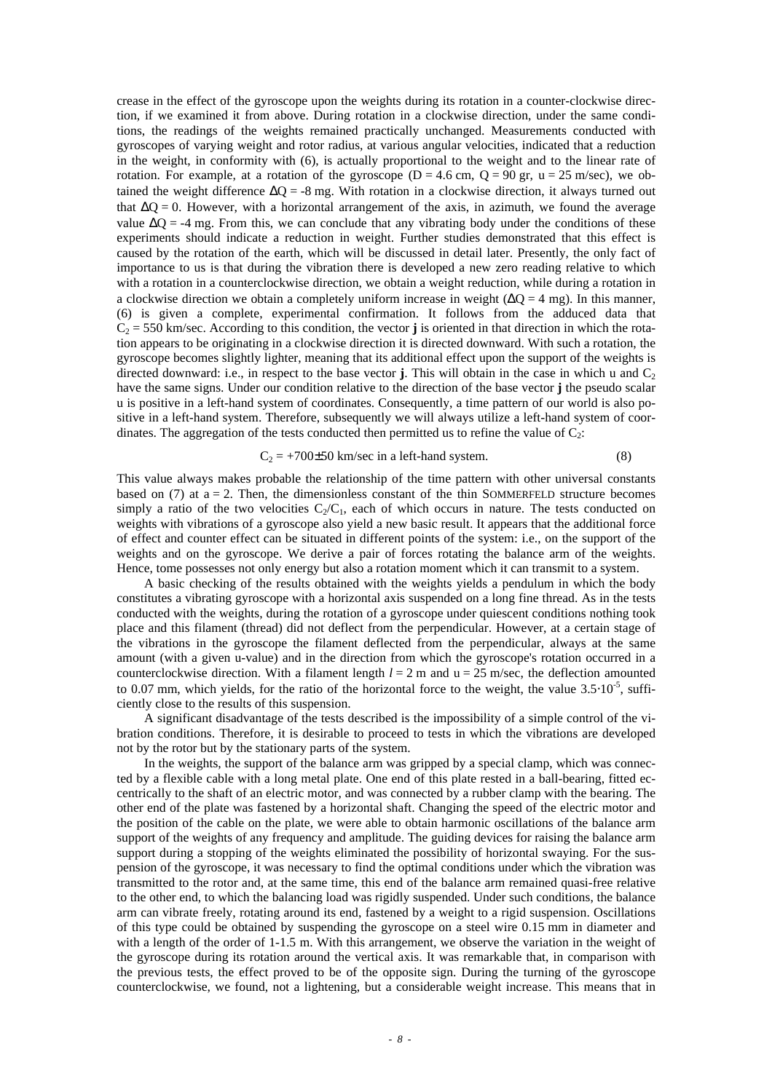crease in the effect of the gyroscope upon the weights during its rotation in a counter-clockwise direction, if we examined it from above. During rotation in a clockwise direction, under the same conditions, the readings of the weights remained practically unchanged. Measurements conducted with gyroscopes of varying weight and rotor radius, at various angular velocities, indicated that a reduction in the weight, in conformity with (6), is actually proportional to the weight and to the linear rate of rotation. For example, at a rotation of the gyroscope ( $D = 4.6$  cm,  $Q = 90$  gr,  $u = 25$  m/sec), we obtained the weight difference  $\Delta Q = -8$  mg. With rotation in a clockwise direction, it always turned out that  $\Delta$ O = 0. However, with a horizontal arrangement of the axis, in azimuth, we found the average value  $\Delta Q = -4$  mg. From this, we can conclude that any vibrating body under the conditions of these experiments should indicate a reduction in weight. Further studies demonstrated that this effect is caused by the rotation of the earth, which will be discussed in detail later. Presently, the only fact of importance to us is that during the vibration there is developed a new zero reading relative to which with a rotation in a counterclockwise direction, we obtain a weight reduction, while during a rotation in a clockwise direction we obtain a completely uniform increase in weight  $(\Delta Q = 4 \text{ mg})$ . In this manner, (6) is given a complete, experimental confirmation. It follows from the adduced data that  $C_2 = 550$  km/sec. According to this condition, the vector **j** is oriented in that direction in which the rotation appears to be originating in a clockwise direction it is directed downward. With such a rotation, the gyroscope becomes slightly lighter, meaning that its additional effect upon the support of the weights is directed downward: i.e., in respect to the base vector **j**. This will obtain in the case in which u and  $C_2$ have the same signs. Under our condition relative to the direction of the base vector **j** the pseudo scalar u is positive in a left-hand system of coordinates. Consequently, a time pattern of our world is also positive in a left-hand system. Therefore, subsequently we will always utilize a left-hand system of coordinates. The aggregation of the tests conducted then permitted us to refine the value of  $C_2$ :

$$
C_2 = +700 \pm 50 \text{ km/sec in a left-hand system.}
$$
 (8)

This value always makes probable the relationship of the time pattern with other universal constants based on  $(7)$  at  $a = 2$ . Then, the dimensionless constant of the thin SOMMERFELD structure becomes simply a ratio of the two velocities  $C_2/C_1$ , each of which occurs in nature. The tests conducted on weights with vibrations of a gyroscope also yield a new basic result. It appears that the additional force of effect and counter effect can be situated in different points of the system: i.e., on the support of the weights and on the gyroscope. We derive a pair of forces rotating the balance arm of the weights. Hence, tome possesses not only energy but also a rotation moment which it can transmit to a system.

A basic checking of the results obtained with the weights yields a pendulum in which the body constitutes a vibrating gyroscope with a horizontal axis suspended on a long fine thread. As in the tests conducted with the weights, during the rotation of a gyroscope under quiescent conditions nothing took place and this filament (thread) did not deflect from the perpendicular. However, at a certain stage of the vibrations in the gyroscope the filament deflected from the perpendicular, always at the same amount (with a given u-value) and in the direction from which the gyroscope's rotation occurred in a counterclockwise direction. With a filament length  $l = 2$  m and  $u = 25$  m/sec, the deflection amounted to 0.07 mm, which yields, for the ratio of the horizontal force to the weight, the value  $3.5 \cdot 10^{-5}$ , sufficiently close to the results of this suspension.

A significant disadvantage of the tests described is the impossibility of a simple control of the vibration conditions. Therefore, it is desirable to proceed to tests in which the vibrations are developed not by the rotor but by the stationary parts of the system.

In the weights, the support of the balance arm was gripped by a special clamp, which was connected by a flexible cable with a long metal plate. One end of this plate rested in a ball-bearing, fitted eccentrically to the shaft of an electric motor, and was connected by a rubber clamp with the bearing. The other end of the plate was fastened by a horizontal shaft. Changing the speed of the electric motor and the position of the cable on the plate, we were able to obtain harmonic oscillations of the balance arm support of the weights of any frequency and amplitude. The guiding devices for raising the balance arm support during a stopping of the weights eliminated the possibility of horizontal swaying. For the suspension of the gyroscope, it was necessary to find the optimal conditions under which the vibration was transmitted to the rotor and, at the same time, this end of the balance arm remained quasi-free relative to the other end, to which the balancing load was rigidly suspended. Under such conditions, the balance arm can vibrate freely, rotating around its end, fastened by a weight to a rigid suspension. Oscillations of this type could be obtained by suspending the gyroscope on a steel wire 0.15 mm in diameter and with a length of the order of 1-1.5 m. With this arrangement, we observe the variation in the weight of the gyroscope during its rotation around the vertical axis. It was remarkable that, in comparison with the previous tests, the effect proved to be of the opposite sign. During the turning of the gyroscope counterclockwise, we found, not a lightening, but a considerable weight increase. This means that in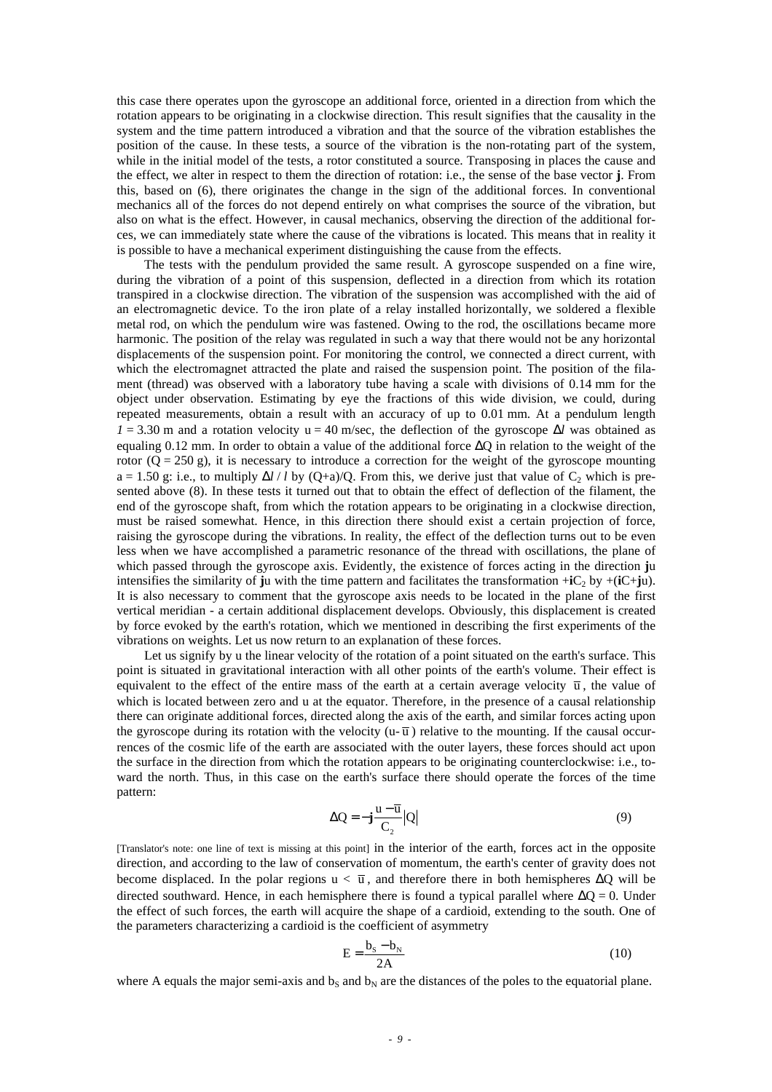this case there operates upon the gyroscope an additional force, oriented in a direction from which the rotation appears to be originating in a clockwise direction. This result signifies that the causality in the system and the time pattern introduced a vibration and that the source of the vibration establishes the position of the cause. In these tests, a source of the vibration is the non-rotating part of the system, while in the initial model of the tests, a rotor constituted a source. Transposing in places the cause and the effect, we alter in respect to them the direction of rotation: i.e., the sense of the base vector **j**. From this, based on (6), there originates the change in the sign of the additional forces. In conventional mechanics all of the forces do not depend entirely on what comprises the source of the vibration, but also on what is the effect. However, in causal mechanics, observing the direction of the additional forces, we can immediately state where the cause of the vibrations is located. This means that in reality it is possible to have a mechanical experiment distinguishing the cause from the effects.

The tests with the pendulum provided the same result. A gyroscope suspended on a fine wire, during the vibration of a point of this suspension, deflected in a direction from which its rotation transpired in a clockwise direction. The vibration of the suspension was accomplished with the aid of an electromagnetic device. To the iron plate of a relay installed horizontally, we soldered a flexible metal rod, on which the pendulum wire was fastened. Owing to the rod, the oscillations became more harmonic. The position of the relay was regulated in such a way that there would not be any horizontal displacements of the suspension point. For monitoring the control, we connected a direct current, with which the electromagnet attracted the plate and raised the suspension point. The position of the filament (thread) was observed with a laboratory tube having a scale with divisions of 0.14 mm for the object under observation. Estimating by eye the fractions of this wide division, we could, during repeated measurements, obtain a result with an accuracy of up to 0.01 mm. At a pendulum length  $I = 3.30$  m and a rotation velocity  $u = 40$  m/sec, the deflection of the gyroscope  $\Delta l$  was obtained as equaling 0.12 mm. In order to obtain a value of the additional force ΔQ in relation to the weight of the rotor  $(Q = 250 \text{ g})$ , it is necessary to introduce a correction for the weight of the gyroscope mounting  $a = 1.50$  g: i.e., to multiply  $\Delta l / l$  by (O+a)/O. From this, we derive just that value of C<sub>2</sub> which is presented above (8). In these tests it turned out that to obtain the effect of deflection of the filament, the end of the gyroscope shaft, from which the rotation appears to be originating in a clockwise direction, must be raised somewhat. Hence, in this direction there should exist a certain projection of force, raising the gyroscope during the vibrations. In reality, the effect of the deflection turns out to be even less when we have accomplished a parametric resonance of the thread with oscillations, the plane of which passed through the gyroscope axis. Evidently, the existence of forces acting in the direction **j**u intensifies the similarity of **j**u with the time pattern and facilitates the transformation +**i**C<sub>2</sub> by +(**i**C+**ju**). It is also necessary to comment that the gyroscope axis needs to be located in the plane of the first vertical meridian - a certain additional displacement develops. Obviously, this displacement is created by force evoked by the earth's rotation, which we mentioned in describing the first experiments of the vibrations on weights. Let us now return to an explanation of these forces.

Let us signify by u the linear velocity of the rotation of a point situated on the earth's surface. This point is situated in gravitational interaction with all other points of the earth's volume. Their effect is equivalent to the effect of the entire mass of the earth at a certain average velocity  $\bar{u}$ , the value of which is located between zero and u at the equator. Therefore, in the presence of a causal relationship there can originate additional forces, directed along the axis of the earth, and similar forces acting upon the gyroscope during its rotation with the velocity (u- $\overline{u}$ ) relative to the mounting. If the causal occurrences of the cosmic life of the earth are associated with the outer layers, these forces should act upon the surface in the direction from which the rotation appears to be originating counterclockwise: i.e., toward the north. Thus, in this case on the earth's surface there should operate the forces of the time pattern:

$$
\Delta Q = -j\frac{u - \overline{u}}{C_2}|Q|
$$
\n(9)

[Translator's note: one line of text is missing at this point] in the interior of the earth, forces act in the opposite direction, and according to the law of conservation of momentum, the earth's center of gravity does not become displaced. In the polar regions  $u < \overline{u}$ , and therefore there in both hemispheres  $\Delta Q$  will be directed southward. Hence, in each hemisphere there is found a typical parallel where  $\Delta Q = 0$ . Under the effect of such forces, the earth will acquire the shape of a cardioid, extending to the south. One of the parameters characterizing a cardioid is the coefficient of asymmetry

$$
E = \frac{b_s - b_N}{2A} \tag{10}
$$

where A equals the major semi-axis and  $b<sub>N</sub>$  are the distances of the poles to the equatorial plane.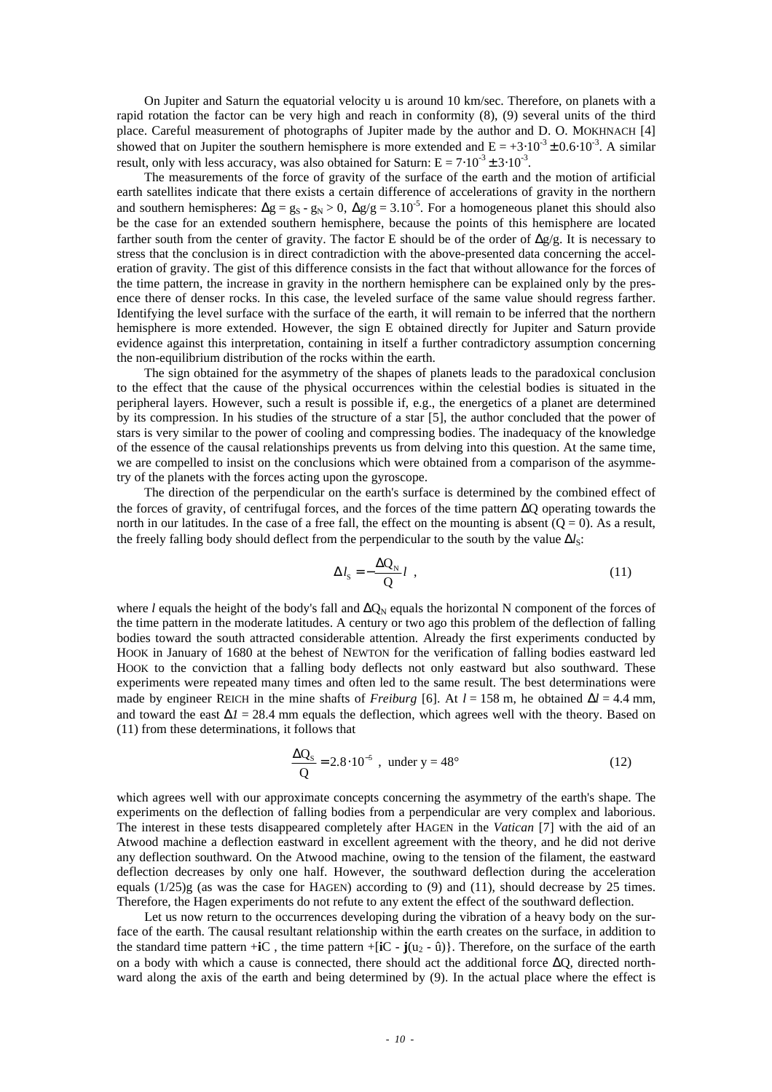On Jupiter and Saturn the equatorial velocity u is around 10 km/sec. Therefore, on planets with a rapid rotation the factor can be very high and reach in conformity (8), (9) several units of the third place. Careful measurement of photographs of Jupiter made by the author and D. O. MOKHNACH [4] showed that on Jupiter the southern hemisphere is more extended and  $E = +3.10^{-3} \pm 0.6 \cdot 10^{-3}$ . A similar result, only with less accuracy, was also obtained for Saturn:  $E = 7 \cdot 10^{-3} \pm 3 \cdot 10^{-3}$ .

The measurements of the force of gravity of the surface of the earth and the motion of artificial earth satellites indicate that there exists a certain difference of accelerations of gravity in the northern and southern hemispheres:  $\Delta g = g_S - g_N > 0$ ,  $\Delta g/g = 3.10^{-5}$ . For a homogeneous planet this should also be the case for an extended southern hemisphere, because the points of this hemisphere are located farther south from the center of gravity. The factor E should be of the order of  $\Delta g/g$ . It is necessary to stress that the conclusion is in direct contradiction with the above-presented data concerning the acceleration of gravity. The gist of this difference consists in the fact that without allowance for the forces of the time pattern, the increase in gravity in the northern hemisphere can be explained only by the presence there of denser rocks. In this case, the leveled surface of the same value should regress farther. Identifying the level surface with the surface of the earth, it will remain to be inferred that the northern hemisphere is more extended. However, the sign E obtained directly for Jupiter and Saturn provide evidence against this interpretation, containing in itself a further contradictory assumption concerning the non-equilibrium distribution of the rocks within the earth.

The sign obtained for the asymmetry of the shapes of planets leads to the paradoxical conclusion to the effect that the cause of the physical occurrences within the celestial bodies is situated in the peripheral layers. However, such a result is possible if, e.g., the energetics of a planet are determined by its compression. In his studies of the structure of a star [5], the author concluded that the power of stars is very similar to the power of cooling and compressing bodies. The inadequacy of the knowledge of the essence of the causal relationships prevents us from delving into this question. At the same time, we are compelled to insist on the conclusions which were obtained from a comparison of the asymmetry of the planets with the forces acting upon the gyroscope.

The direction of the perpendicular on the earth's surface is determined by the combined effect of the forces of gravity, of centrifugal forces, and the forces of the time pattern ΔQ operating towards the north in our latitudes. In the case of a free fall, the effect on the mounting is absent  $(Q = 0)$ . As a result, the freely falling body should deflect from the perpendicular to the south by the value  $\Delta l_s$ :

$$
\Delta l_{\rm s} = -\frac{\Delta Q_{\rm N}}{Q} l \tag{11}
$$

where *l* equals the height of the body's fall and  $ΔQ<sub>N</sub>$  equals the horizontal N component of the forces of the time pattern in the moderate latitudes. A century or two ago this problem of the deflection of falling bodies toward the south attracted considerable attention. Already the first experiments conducted by HOOK in January of 1680 at the behest of NEWTON for the verification of falling bodies eastward led HOOK to the conviction that a falling body deflects not only eastward but also southward. These experiments were repeated many times and often led to the same result. The best determinations were made by engineer REICH in the mine shafts of *Freiburg* [6]. At  $l = 158$  m, he obtained  $\Delta l = 4.4$  mm, and toward the east  $\Delta l = 28.4$  mm equals the deflection, which agrees well with the theory. Based on (11) from these determinations, it follows that

$$
\frac{\Delta Q_s}{Q} = 2.8 \cdot 10^{-5}
$$
, under y = 48<sup>o</sup> (12)

which agrees well with our approximate concepts concerning the asymmetry of the earth's shape. The experiments on the deflection of falling bodies from a perpendicular are very complex and laborious. The interest in these tests disappeared completely after HAGEN in the *Vatican* [7] with the aid of an Atwood machine a deflection eastward in excellent agreement with the theory, and he did not derive any deflection southward. On the Atwood machine, owing to the tension of the filament, the eastward deflection decreases by only one half. However, the southward deflection during the acceleration equals  $(1/25)$ g (as was the case for HAGEN) according to (9) and (11), should decrease by 25 times. Therefore, the Hagen experiments do not refute to any extent the effect of the southward deflection.

Let us now return to the occurrences developing during the vibration of a heavy body on the surface of the earth. The causal resultant relationship within the earth creates on the surface, in addition to the standard time pattern  $+iC$ , the time pattern  $+iC - j(u_2 - \hat{u})$ . Therefore, on the surface of the earth on a body with which a cause is connected, there should act the additional force  $\Delta Q$ , directed northward along the axis of the earth and being determined by (9). In the actual place where the effect is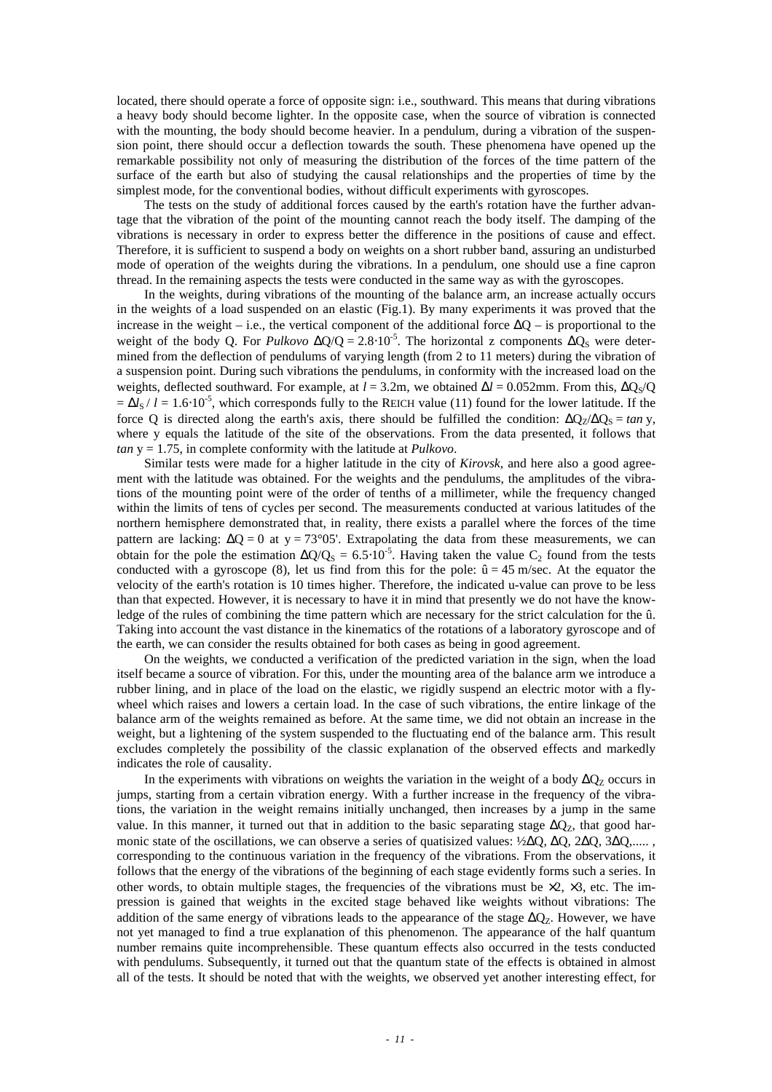located, there should operate a force of opposite sign: i.e., southward. This means that during vibrations a heavy body should become lighter. In the opposite case, when the source of vibration is connected with the mounting, the body should become heavier. In a pendulum, during a vibration of the suspension point, there should occur a deflection towards the south. These phenomena have opened up the remarkable possibility not only of measuring the distribution of the forces of the time pattern of the surface of the earth but also of studying the causal relationships and the properties of time by the simplest mode, for the conventional bodies, without difficult experiments with gyroscopes.

The tests on the study of additional forces caused by the earth's rotation have the further advantage that the vibration of the point of the mounting cannot reach the body itself. The damping of the vibrations is necessary in order to express better the difference in the positions of cause and effect. Therefore, it is sufficient to suspend a body on weights on a short rubber band, assuring an undisturbed mode of operation of the weights during the vibrations. In a pendulum, one should use a fine capron thread. In the remaining aspects the tests were conducted in the same way as with the gyroscopes.

In the weights, during vibrations of the mounting of the balance arm, an increase actually occurs in the weights of a load suspended on an elastic (Fig.1). By many experiments it was proved that the increase in the weight – i.e., the vertical component of the additional force  $\Delta Q$  – is proportional to the weight of the body Q. For *Pulkovo*  $\Delta Q/Q = 2.8 \cdot 10^{-5}$ . The horizontal z components  $\Delta Q_S$  were determined from the deflection of pendulums of varying length (from 2 to 11 meters) during the vibration of a suspension point. During such vibrations the pendulums, in conformity with the increased load on the weights, deflected southward. For example, at  $l = 3.2$ m, we obtained  $\Delta l = 0.052$ mm. From this,  $\Delta Q_s/Q$  $=\Delta l_S / l = 1.6 \cdot 10^{-5}$ , which corresponds fully to the REICH value (11) found for the lower latitude. If the force Q is directed along the earth's axis, there should be fulfilled the condition:  $\Delta Q_7/\Delta Q_s = \tan y$ , where y equals the latitude of the site of the observations. From the data presented, it follows that *tan* y = 1.75, in complete conformity with the latitude at *Pulkovo*.

Similar tests were made for a higher latitude in the city of *Kirovsk*, and here also a good agreement with the latitude was obtained. For the weights and the pendulums, the amplitudes of the vibrations of the mounting point were of the order of tenths of a millimeter, while the frequency changed within the limits of tens of cycles per second. The measurements conducted at various latitudes of the northern hemisphere demonstrated that, in reality, there exists a parallel where the forces of the time pattern are lacking:  $\Delta Q = 0$  at y = 73°05'. Extrapolating the data from these measurements, we can obtain for the pole the estimation  $\Delta Q/Q_s = 6.5 \cdot 10^{-5}$ . Having taken the value C<sub>2</sub> found from the tests conducted with a gyroscope (8), let us find from this for the pole:  $\hat{u} = 45$  m/sec. At the equator the velocity of the earth's rotation is 10 times higher. Therefore, the indicated u-value can prove to be less than that expected. However, it is necessary to have it in mind that presently we do not have the knowledge of the rules of combining the time pattern which are necessary for the strict calculation for the û. Taking into account the vast distance in the kinematics of the rotations of a laboratory gyroscope and of the earth, we can consider the results obtained for both cases as being in good agreement.

On the weights, we conducted a verification of the predicted variation in the sign, when the load itself became a source of vibration. For this, under the mounting area of the balance arm we introduce a rubber lining, and in place of the load on the elastic, we rigidly suspend an electric motor with a flywheel which raises and lowers a certain load. In the case of such vibrations, the entire linkage of the balance arm of the weights remained as before. At the same time, we did not obtain an increase in the weight, but a lightening of the system suspended to the fluctuating end of the balance arm. This result excludes completely the possibility of the classic explanation of the observed effects and markedly indicates the role of causality.

In the experiments with vibrations on weights the variation in the weight of a body  $\Delta Q_{\rm z}$  occurs in jumps, starting from a certain vibration energy. With a further increase in the frequency of the vibrations, the variation in the weight remains initially unchanged, then increases by a jump in the same value. In this manner, it turned out that in addition to the basic separating stage  $\Delta Q_z$ , that good harmonic state of the oscillations, we can observe a series of quatisized values:  $\frac{1}{2}\Delta Q$ ,  $\Delta Q$ ,  $\frac{2}{\Delta Q}$ ,  $\frac{3}{\Delta Q}$ ,..... corresponding to the continuous variation in the frequency of the vibrations. From the observations, it follows that the energy of the vibrations of the beginning of each stage evidently forms such a series. In other words, to obtain multiple stages, the frequencies of the vibrations must be  $\times 2$ ,  $\times 3$ , etc. The impression is gained that weights in the excited stage behaved like weights without vibrations: The addition of the same energy of vibrations leads to the appearance of the stage  $\Delta O_z$ . However, we have not yet managed to find a true explanation of this phenomenon. The appearance of the half quantum number remains quite incomprehensible. These quantum effects also occurred in the tests conducted with pendulums. Subsequently, it turned out that the quantum state of the effects is obtained in almost all of the tests. It should be noted that with the weights, we observed yet another interesting effect, for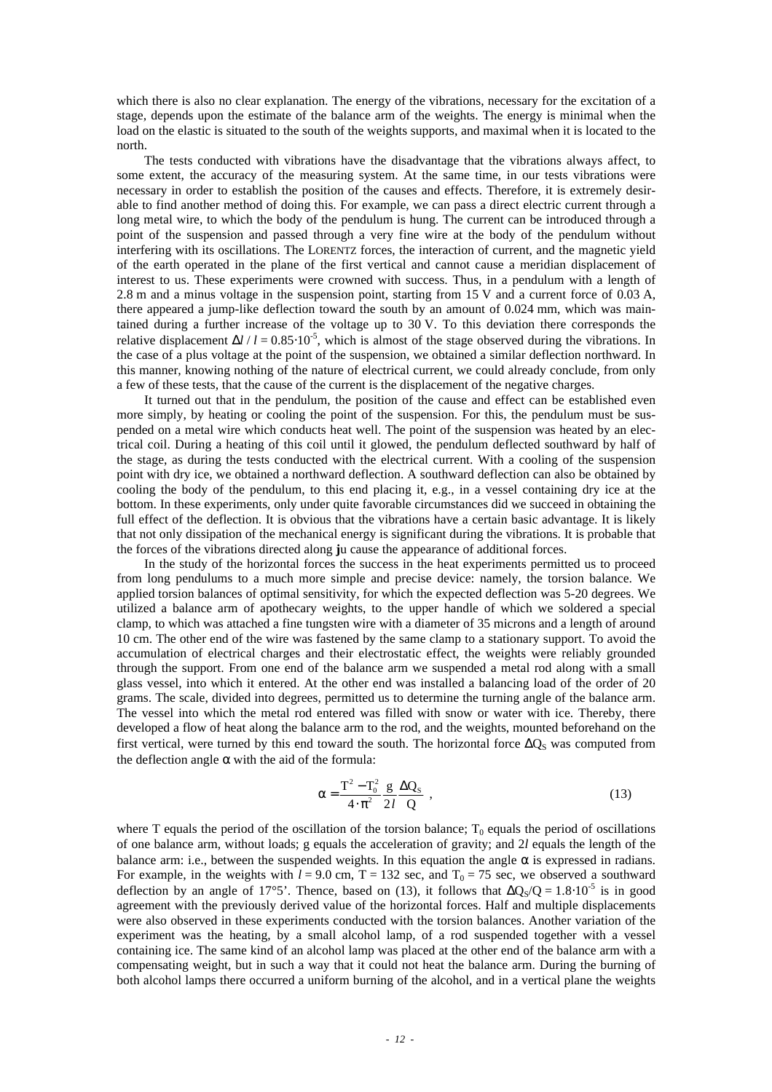which there is also no clear explanation. The energy of the vibrations, necessary for the excitation of a stage, depends upon the estimate of the balance arm of the weights. The energy is minimal when the load on the elastic is situated to the south of the weights supports, and maximal when it is located to the north.

The tests conducted with vibrations have the disadvantage that the vibrations always affect, to some extent, the accuracy of the measuring system. At the same time, in our tests vibrations were necessary in order to establish the position of the causes and effects. Therefore, it is extremely desirable to find another method of doing this. For example, we can pass a direct electric current through a long metal wire, to which the body of the pendulum is hung. The current can be introduced through a point of the suspension and passed through a very fine wire at the body of the pendulum without interfering with its oscillations. The LORENTZ forces, the interaction of current, and the magnetic yield of the earth operated in the plane of the first vertical and cannot cause a meridian displacement of interest to us. These experiments were crowned with success. Thus, in a pendulum with a length of 2.8 m and a minus voltage in the suspension point, starting from 15 V and a current force of 0.03 A, there appeared a jump-like deflection toward the south by an amount of 0.024 mm, which was maintained during a further increase of the voltage up to 30 V. To this deviation there corresponds the relative displacement  $\Delta l / l = 0.85 \cdot 10^{-5}$ , which is almost of the stage observed during the vibrations. In the case of a plus voltage at the point of the suspension, we obtained a similar deflection northward. In this manner, knowing nothing of the nature of electrical current, we could already conclude, from only a few of these tests, that the cause of the current is the displacement of the negative charges.

It turned out that in the pendulum, the position of the cause and effect can be established even more simply, by heating or cooling the point of the suspension. For this, the pendulum must be suspended on a metal wire which conducts heat well. The point of the suspension was heated by an electrical coil. During a heating of this coil until it glowed, the pendulum deflected southward by half of the stage, as during the tests conducted with the electrical current. With a cooling of the suspension point with dry ice, we obtained a northward deflection. A southward deflection can also be obtained by cooling the body of the pendulum, to this end placing it, e.g., in a vessel containing dry ice at the bottom. In these experiments, only under quite favorable circumstances did we succeed in obtaining the full effect of the deflection. It is obvious that the vibrations have a certain basic advantage. It is likely that not only dissipation of the mechanical energy is significant during the vibrations. It is probable that the forces of the vibrations directed along **j**u cause the appearance of additional forces.

In the study of the horizontal forces the success in the heat experiments permitted us to proceed from long pendulums to a much more simple and precise device: namely, the torsion balance. We applied torsion balances of optimal sensitivity, for which the expected deflection was 5-20 degrees. We utilized a balance arm of apothecary weights, to the upper handle of which we soldered a special clamp, to which was attached a fine tungsten wire with a diameter of 35 microns and a length of around 10 cm. The other end of the wire was fastened by the same clamp to a stationary support. To avoid the accumulation of electrical charges and their electrostatic effect, the weights were reliably grounded through the support. From one end of the balance arm we suspended a metal rod along with a small glass vessel, into which it entered. At the other end was installed a balancing load of the order of 20 grams. The scale, divided into degrees, permitted us to determine the turning angle of the balance arm. The vessel into which the metal rod entered was filled with snow or water with ice. Thereby, there developed a flow of heat along the balance arm to the rod, and the weights, mounted beforehand on the first vertical, were turned by this end toward the south. The horizontal force  $\Delta Q_S$  was computed from the deflection angle  $\alpha$  with the aid of the formula:

$$
\alpha = \frac{T^2 - T_0^2}{4 \cdot \pi^2} \frac{g}{2l} \frac{\Delta Q_s}{Q} , \qquad (13)
$$

where T equals the period of the oscillation of the torsion balance;  $T_0$  equals the period of oscillations of one balance arm, without loads; g equals the acceleration of gravity; and 2*l* equals the length of the balance arm: i.e., between the suspended weights. In this equation the angle  $\alpha$  is expressed in radians. For example, in the weights with  $l = 9.0$  cm,  $T = 132$  sec, and  $T_0 = 75$  sec, we observed a southward deflection by an angle of 17°5'. Thence, based on (13), it follows that  $\Delta Q_S/Q = 1.8 \cdot 10^{-5}$  is in good agreement with the previously derived value of the horizontal forces. Half and multiple displacements were also observed in these experiments conducted with the torsion balances. Another variation of the experiment was the heating, by a small alcohol lamp, of a rod suspended together with a vessel containing ice. The same kind of an alcohol lamp was placed at the other end of the balance arm with a compensating weight, but in such a way that it could not heat the balance arm. During the burning of both alcohol lamps there occurred a uniform burning of the alcohol, and in a vertical plane the weights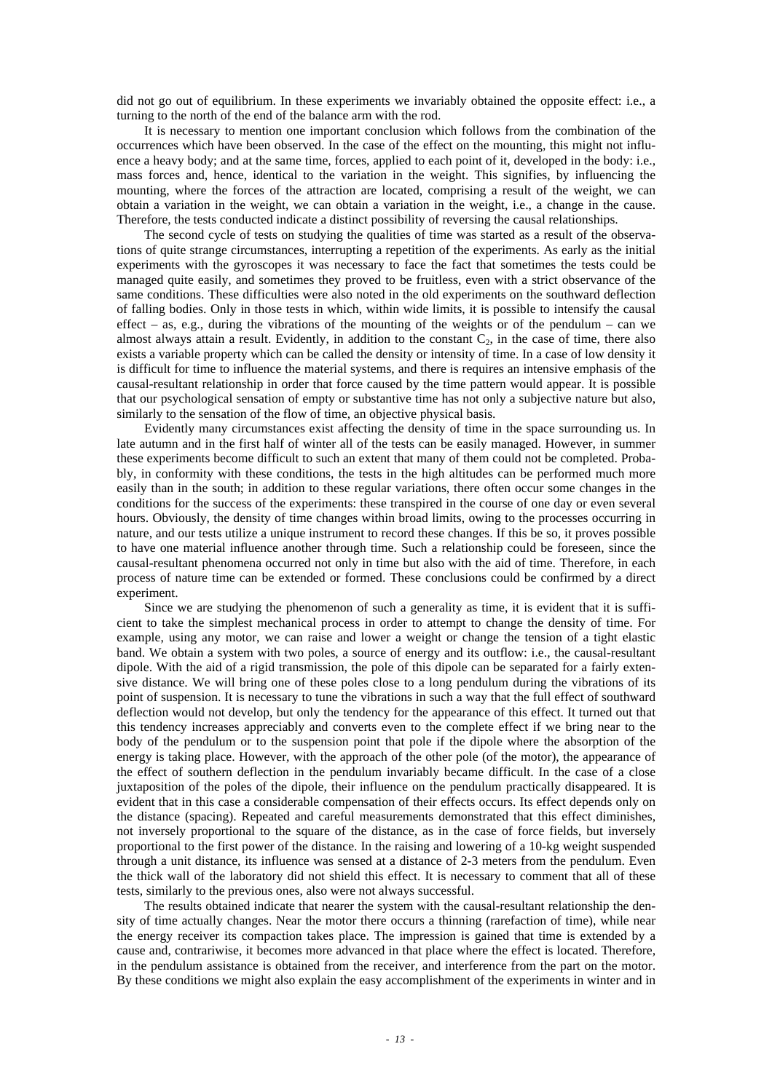did not go out of equilibrium. In these experiments we invariably obtained the opposite effect: i.e., a turning to the north of the end of the balance arm with the rod.

It is necessary to mention one important conclusion which follows from the combination of the occurrences which have been observed. In the case of the effect on the mounting, this might not influence a heavy body; and at the same time, forces, applied to each point of it, developed in the body: i.e., mass forces and, hence, identical to the variation in the weight. This signifies, by influencing the mounting, where the forces of the attraction are located, comprising a result of the weight, we can obtain a variation in the weight, we can obtain a variation in the weight, i.e., a change in the cause. Therefore, the tests conducted indicate a distinct possibility of reversing the causal relationships.

The second cycle of tests on studying the qualities of time was started as a result of the observations of quite strange circumstances, interrupting a repetition of the experiments. As early as the initial experiments with the gyroscopes it was necessary to face the fact that sometimes the tests could be managed quite easily, and sometimes they proved to be fruitless, even with a strict observance of the same conditions. These difficulties were also noted in the old experiments on the southward deflection of falling bodies. Only in those tests in which, within wide limits, it is possible to intensify the causal effect – as, e.g., during the vibrations of the mounting of the weights or of the pendulum – can we almost always attain a result. Evidently, in addition to the constant  $C_2$ , in the case of time, there also exists a variable property which can be called the density or intensity of time. In a case of low density it is difficult for time to influence the material systems, and there is requires an intensive emphasis of the causal-resultant relationship in order that force caused by the time pattern would appear. It is possible that our psychological sensation of empty or substantive time has not only a subjective nature but also, similarly to the sensation of the flow of time, an objective physical basis.

Evidently many circumstances exist affecting the density of time in the space surrounding us. In late autumn and in the first half of winter all of the tests can be easily managed. However, in summer these experiments become difficult to such an extent that many of them could not be completed. Probably, in conformity with these conditions, the tests in the high altitudes can be performed much more easily than in the south; in addition to these regular variations, there often occur some changes in the conditions for the success of the experiments: these transpired in the course of one day or even several hours. Obviously, the density of time changes within broad limits, owing to the processes occurring in nature, and our tests utilize a unique instrument to record these changes. If this be so, it proves possible to have one material influence another through time. Such a relationship could be foreseen, since the causal-resultant phenomena occurred not only in time but also with the aid of time. Therefore, in each process of nature time can be extended or formed. These conclusions could be confirmed by a direct experiment.

Since we are studying the phenomenon of such a generality as time, it is evident that it is sufficient to take the simplest mechanical process in order to attempt to change the density of time. For example, using any motor, we can raise and lower a weight or change the tension of a tight elastic band. We obtain a system with two poles, a source of energy and its outflow: i.e., the causal-resultant dipole. With the aid of a rigid transmission, the pole of this dipole can be separated for a fairly extensive distance. We will bring one of these poles close to a long pendulum during the vibrations of its point of suspension. It is necessary to tune the vibrations in such a way that the full effect of southward deflection would not develop, but only the tendency for the appearance of this effect. It turned out that this tendency increases appreciably and converts even to the complete effect if we bring near to the body of the pendulum or to the suspension point that pole if the dipole where the absorption of the energy is taking place. However, with the approach of the other pole (of the motor), the appearance of the effect of southern deflection in the pendulum invariably became difficult. In the case of a close juxtaposition of the poles of the dipole, their influence on the pendulum practically disappeared. It is evident that in this case a considerable compensation of their effects occurs. Its effect depends only on the distance (spacing). Repeated and careful measurements demonstrated that this effect diminishes, not inversely proportional to the square of the distance, as in the case of force fields, but inversely proportional to the first power of the distance. In the raising and lowering of a 10-kg weight suspended through a unit distance, its influence was sensed at a distance of 2-3 meters from the pendulum. Even the thick wall of the laboratory did not shield this effect. It is necessary to comment that all of these tests, similarly to the previous ones, also were not always successful.

The results obtained indicate that nearer the system with the causal-resultant relationship the density of time actually changes. Near the motor there occurs a thinning (rarefaction of time), while near the energy receiver its compaction takes place. The impression is gained that time is extended by a cause and, contrariwise, it becomes more advanced in that place where the effect is located. Therefore, in the pendulum assistance is obtained from the receiver, and interference from the part on the motor. By these conditions we might also explain the easy accomplishment of the experiments in winter and in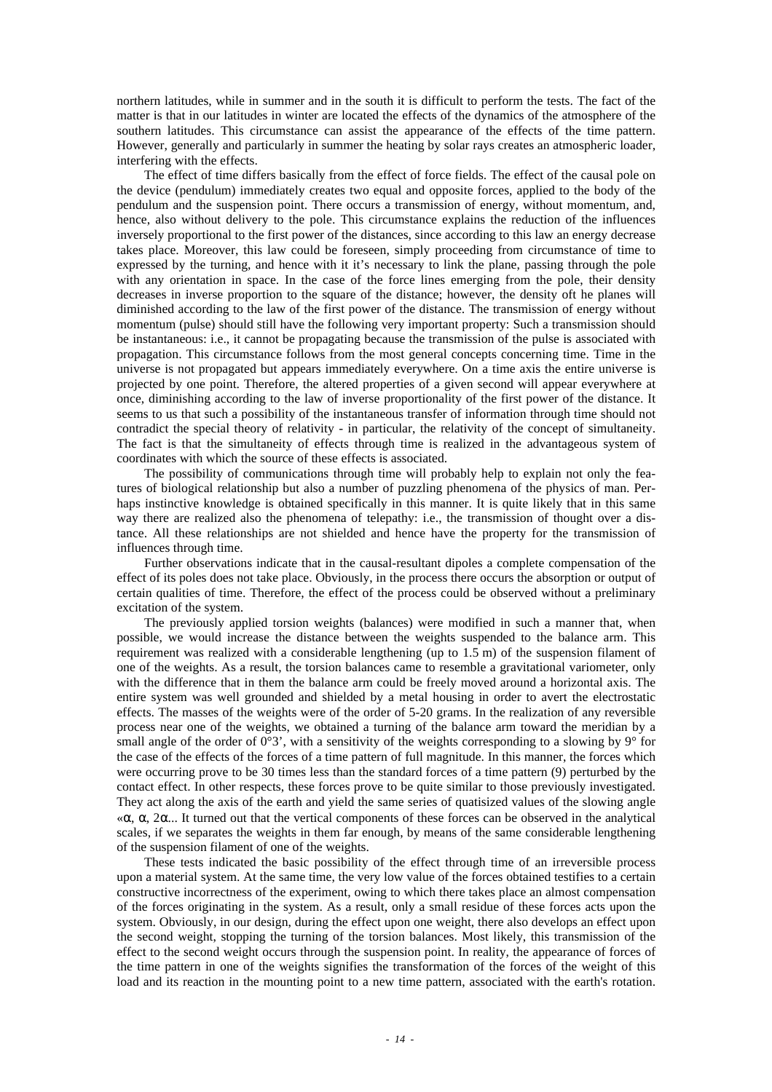northern latitudes, while in summer and in the south it is difficult to perform the tests. The fact of the matter is that in our latitudes in winter are located the effects of the dynamics of the atmosphere of the southern latitudes. This circumstance can assist the appearance of the effects of the time pattern. However, generally and particularly in summer the heating by solar rays creates an atmospheric loader, interfering with the effects.

The effect of time differs basically from the effect of force fields. The effect of the causal pole on the device (pendulum) immediately creates two equal and opposite forces, applied to the body of the pendulum and the suspension point. There occurs a transmission of energy, without momentum, and, hence, also without delivery to the pole. This circumstance explains the reduction of the influences inversely proportional to the first power of the distances, since according to this law an energy decrease takes place. Moreover, this law could be foreseen, simply proceeding from circumstance of time to expressed by the turning, and hence with it it's necessary to link the plane, passing through the pole with any orientation in space. In the case of the force lines emerging from the pole, their density decreases in inverse proportion to the square of the distance; however, the density oft he planes will diminished according to the law of the first power of the distance. The transmission of energy without momentum (pulse) should still have the following very important property: Such a transmission should be instantaneous: i.e., it cannot be propagating because the transmission of the pulse is associated with propagation. This circumstance follows from the most general concepts concerning time. Time in the universe is not propagated but appears immediately everywhere. On a time axis the entire universe is projected by one point. Therefore, the altered properties of a given second will appear everywhere at once, diminishing according to the law of inverse proportionality of the first power of the distance. It seems to us that such a possibility of the instantaneous transfer of information through time should not contradict the special theory of relativity - in particular, the relativity of the concept of simultaneity. The fact is that the simultaneity of effects through time is realized in the advantageous system of coordinates with which the source of these effects is associated.

The possibility of communications through time will probably help to explain not only the features of biological relationship but also a number of puzzling phenomena of the physics of man. Perhaps instinctive knowledge is obtained specifically in this manner. It is quite likely that in this same way there are realized also the phenomena of telepathy: i.e., the transmission of thought over a distance. All these relationships are not shielded and hence have the property for the transmission of influences through time.

Further observations indicate that in the causal-resultant dipoles a complete compensation of the effect of its poles does not take place. Obviously, in the process there occurs the absorption or output of certain qualities of time. Therefore, the effect of the process could be observed without a preliminary excitation of the system.

The previously applied torsion weights (balances) were modified in such a manner that, when possible, we would increase the distance between the weights suspended to the balance arm. This requirement was realized with a considerable lengthening (up to 1.5 m) of the suspension filament of one of the weights. As a result, the torsion balances came to resemble a gravitational variometer, only with the difference that in them the balance arm could be freely moved around a horizontal axis. The entire system was well grounded and shielded by a metal housing in order to avert the electrostatic effects. The masses of the weights were of the order of 5-20 grams. In the realization of any reversible process near one of the weights, we obtained a turning of the balance arm toward the meridian by a small angle of the order of  $0^{\circ}3'$ , with a sensitivity of the weights corresponding to a slowing by  $9^{\circ}$  for the case of the effects of the forces of a time pattern of full magnitude. In this manner, the forces which were occurring prove to be 30 times less than the standard forces of a time pattern (9) perturbed by the contact effect. In other respects, these forces prove to be quite similar to those previously investigated. They act along the axis of the earth and yield the same series of quatisized values of the slowing angle «α, α, 2α... It turned out that the vertical components of these forces can be observed in the analytical scales, if we separates the weights in them far enough, by means of the same considerable lengthening of the suspension filament of one of the weights.

These tests indicated the basic possibility of the effect through time of an irreversible process upon a material system. At the same time, the very low value of the forces obtained testifies to a certain constructive incorrectness of the experiment, owing to which there takes place an almost compensation of the forces originating in the system. As a result, only a small residue of these forces acts upon the system. Obviously, in our design, during the effect upon one weight, there also develops an effect upon the second weight, stopping the turning of the torsion balances. Most likely, this transmission of the effect to the second weight occurs through the suspension point. In reality, the appearance of forces of the time pattern in one of the weights signifies the transformation of the forces of the weight of this load and its reaction in the mounting point to a new time pattern, associated with the earth's rotation.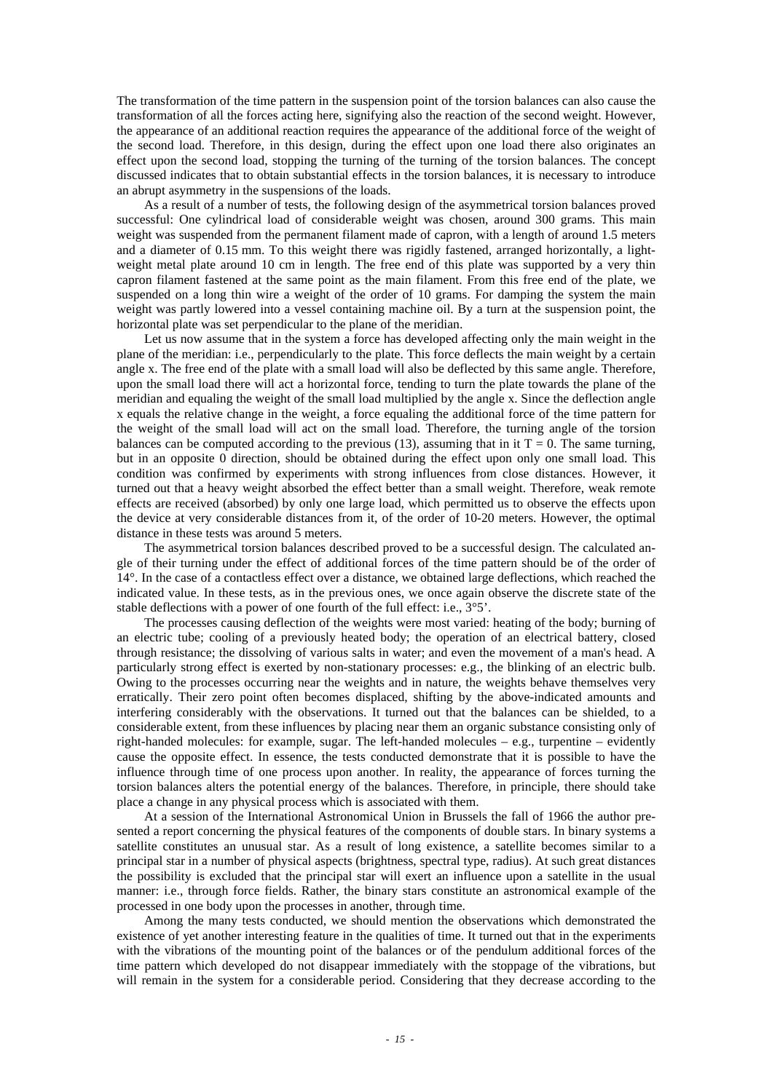The transformation of the time pattern in the suspension point of the torsion balances can also cause the transformation of all the forces acting here, signifying also the reaction of the second weight. However, the appearance of an additional reaction requires the appearance of the additional force of the weight of the second load. Therefore, in this design, during the effect upon one load there also originates an effect upon the second load, stopping the turning of the turning of the torsion balances. The concept discussed indicates that to obtain substantial effects in the torsion balances, it is necessary to introduce an abrupt asymmetry in the suspensions of the loads.

As a result of a number of tests, the following design of the asymmetrical torsion balances proved successful: One cylindrical load of considerable weight was chosen, around 300 grams. This main weight was suspended from the permanent filament made of capron, with a length of around 1.5 meters and a diameter of 0.15 mm. To this weight there was rigidly fastened, arranged horizontally, a lightweight metal plate around 10 cm in length. The free end of this plate was supported by a very thin capron filament fastened at the same point as the main filament. From this free end of the plate, we suspended on a long thin wire a weight of the order of 10 grams. For damping the system the main weight was partly lowered into a vessel containing machine oil. By a turn at the suspension point, the horizontal plate was set perpendicular to the plane of the meridian.

Let us now assume that in the system a force has developed affecting only the main weight in the plane of the meridian: i.e., perpendicularly to the plate. This force deflects the main weight by a certain angle x. The free end of the plate with a small load will also be deflected by this same angle. Therefore, upon the small load there will act a horizontal force, tending to turn the plate towards the plane of the meridian and equaling the weight of the small load multiplied by the angle x. Since the deflection angle x equals the relative change in the weight, a force equaling the additional force of the time pattern for the weight of the small load will act on the small load. Therefore, the turning angle of the torsion balances can be computed according to the previous (13), assuming that in it  $T = 0$ . The same turning, but in an opposite 0 direction, should be obtained during the effect upon only one small load. This condition was confirmed by experiments with strong influences from close distances. However, it turned out that a heavy weight absorbed the effect better than a small weight. Therefore, weak remote effects are received (absorbed) by only one large load, which permitted us to observe the effects upon the device at very considerable distances from it, of the order of 10-20 meters. However, the optimal distance in these tests was around 5 meters.

The asymmetrical torsion balances described proved to be a successful design. The calculated angle of their turning under the effect of additional forces of the time pattern should be of the order of 14°. In the case of a contactless effect over a distance, we obtained large deflections, which reached the indicated value. In these tests, as in the previous ones, we once again observe the discrete state of the stable deflections with a power of one fourth of the full effect: i.e., 3°5'.

The processes causing deflection of the weights were most varied: heating of the body; burning of an electric tube; cooling of a previously heated body; the operation of an electrical battery, closed through resistance; the dissolving of various salts in water; and even the movement of a man's head. A particularly strong effect is exerted by non-stationary processes: e.g., the blinking of an electric bulb. Owing to the processes occurring near the weights and in nature, the weights behave themselves very erratically. Their zero point often becomes displaced, shifting by the above-indicated amounts and interfering considerably with the observations. It turned out that the balances can be shielded, to a considerable extent, from these influences by placing near them an organic substance consisting only of right-handed molecules: for example, sugar. The left-handed molecules – e.g., turpentine – evidently cause the opposite effect. In essence, the tests conducted demonstrate that it is possible to have the influence through time of one process upon another. In reality, the appearance of forces turning the torsion balances alters the potential energy of the balances. Therefore, in principle, there should take place a change in any physical process which is associated with them.

At a session of the International Astronomical Union in Brussels the fall of 1966 the author presented a report concerning the physical features of the components of double stars. In binary systems a satellite constitutes an unusual star. As a result of long existence, a satellite becomes similar to a principal star in a number of physical aspects (brightness, spectral type, radius). At such great distances the possibility is excluded that the principal star will exert an influence upon a satellite in the usual manner: i.e., through force fields. Rather, the binary stars constitute an astronomical example of the processed in one body upon the processes in another, through time.

Among the many tests conducted, we should mention the observations which demonstrated the existence of yet another interesting feature in the qualities of time. It turned out that in the experiments with the vibrations of the mounting point of the balances or of the pendulum additional forces of the time pattern which developed do not disappear immediately with the stoppage of the vibrations, but will remain in the system for a considerable period. Considering that they decrease according to the